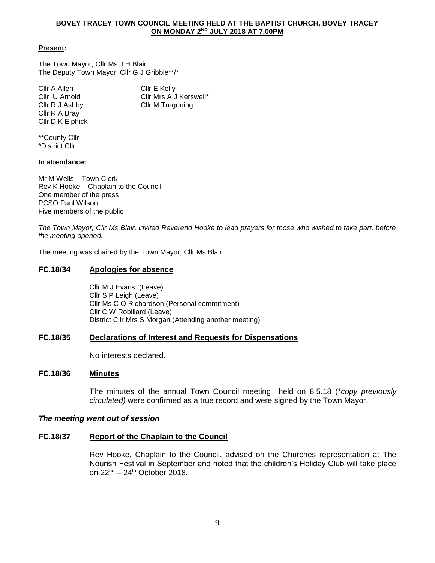#### **BOVEY TRACEY TOWN COUNCIL MEETING HELD AT THE BAPTIST CHURCH, BOVEY TRACEY ON MONDAY 2ND JULY 2018 AT 7.00PM**

#### **Present:**

The Town Mayor, Cllr Ms J H Blair The Deputy Town Mayor, Cllr G J Gribble\*\*/\*

Cllr A Allen Cllr E Kelly Cllr U Arnold Cllr Mrs A J Kerswell\* Cllr R J Ashby Cllr M Tregoning Cllr R A Bray Cllr D K Elphick

\*\*County Cllr \*District Cllr

#### **In attendance:**

Mr M Wells – Town Clerk Rev K Hooke – Chaplain to the Council One member of the press PCSO Paul Wilson Five members of the public

*The Town Mayor, Cllr Ms Blair, invited Reverend Hooke to lead prayers for those who wished to take part, before the meeting opened.*

The meeting was chaired by the Town Mayor, Cllr Ms Blair

# **FC.18/34 Apologies for absence**

Cllr M J Evans (Leave) Cllr S P Leigh (Leave) Cllr Ms C O Richardson (Personal commitment) Cllr C W Robillard (Leave) District Cllr Mrs S Morgan (Attending another meeting)

### **FC.18/35 Declarations of Interest and Requests for Dispensations**

No interests declared.

#### **FC.18/36 Minutes**

The minutes of the annual Town Council meeting held on 8.5.18 (\**copy previously circulated)* were confirmed as a true record and were signed by the Town Mayor.

### *The meeting went out of session*

### **FC.18/37 Report of the Chaplain to the Council**

Rev Hooke, Chaplain to the Council, advised on the Churches representation at The Nourish Festival in September and noted that the children's Holiday Club will take place on  $22<sup>nd</sup> - 24<sup>th</sup>$  October 2018.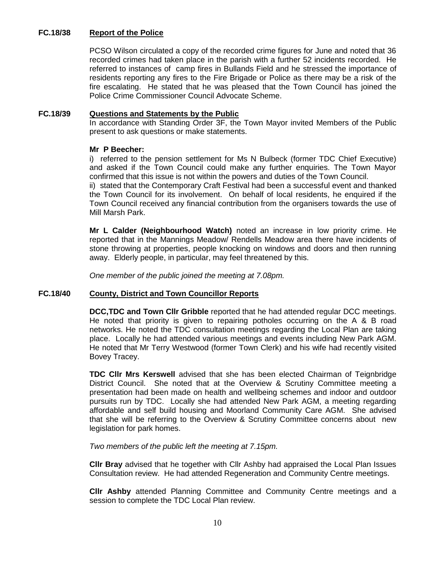# **FC.18/38 Report of the Police**

PCSO Wilson circulated a copy of the recorded crime figures for June and noted that 36 recorded crimes had taken place in the parish with a further 52 incidents recorded. He referred to instances of camp fires in Bullands Field and he stressed the importance of residents reporting any fires to the Fire Brigade or Police as there may be a risk of the fire escalating. He stated that he was pleased that the Town Council has joined the Police Crime Commissioner Council Advocate Scheme.

### **FC.18/39 Questions and Statements by the Public**

In accordance with Standing Order 3F, the Town Mayor invited Members of the Public present to ask questions or make statements.

# **Mr P Beecher:**

i) referred to the pension settlement for Ms N Bulbeck (former TDC Chief Executive) and asked if the Town Council could make any further enquiries. The Town Mayor confirmed that this issue is not within the powers and duties of the Town Council.

ii) stated that the Contemporary Craft Festival had been a successful event and thanked the Town Council for its involvement. On behalf of local residents, he enquired if the Town Council received any financial contribution from the organisers towards the use of Mill Marsh Park.

**Mr L Calder (Neighbourhood Watch)** noted an increase in low priority crime. He reported that in the Mannings Meadow/ Rendells Meadow area there have incidents of stone throwing at properties, people knocking on windows and doors and then running away. Elderly people, in particular, may feel threatened by this.

*One member of the public joined the meeting at 7.08pm.*

### **FC.18/40 County, District and Town Councillor Reports**

**DCC,TDC and Town Cllr Gribble** reported that he had attended regular DCC meetings. He noted that priority is given to repairing potholes occurring on the A & B road networks. He noted the TDC consultation meetings regarding the Local Plan are taking place. Locally he had attended various meetings and events including New Park AGM. He noted that Mr Terry Westwood (former Town Clerk) and his wife had recently visited Bovey Tracey.

**TDC Cllr Mrs Kerswell** advised that she has been elected Chairman of Teignbridge District Council. She noted that at the Overview & Scrutiny Committee meeting a presentation had been made on health and wellbeing schemes and indoor and outdoor pursuits run by TDC. Locally she had attended New Park AGM, a meeting regarding affordable and self build housing and Moorland Community Care AGM. She advised that she will be referring to the Overview & Scrutiny Committee concerns about new legislation for park homes.

*Two members of the public left the meeting at 7.15pm.*

**Cllr Bray** advised that he together with Cllr Ashby had appraised the Local Plan Issues Consultation review. He had attended Regeneration and Community Centre meetings.

**Cllr Ashby** attended Planning Committee and Community Centre meetings and a session to complete the TDC Local Plan review.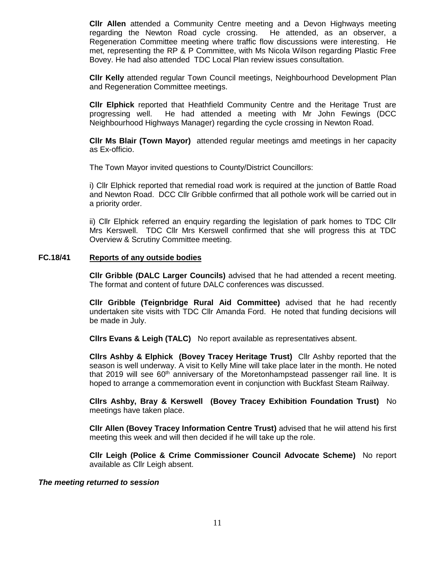**Cllr Allen** attended a Community Centre meeting and a Devon Highways meeting regarding the Newton Road cycle crossing. He attended, as an observer, a Regeneration Committee meeting where traffic flow discussions were interesting. He met, representing the RP & P Committee, with Ms Nicola Wilson regarding Plastic Free Bovey. He had also attended TDC Local Plan review issues consultation.

**Cllr Kelly** attended regular Town Council meetings, Neighbourhood Development Plan and Regeneration Committee meetings.

**Cllr Elphick** reported that Heathfield Community Centre and the Heritage Trust are progressing well. He had attended a meeting with Mr John Fewings (DCC Neighbourhood Highways Manager) regarding the cycle crossing in Newton Road.

**Cllr Ms Blair (Town Mayor)** attended regular meetings amd meetings in her capacity as Ex-officio.

The Town Mayor invited questions to County/District Councillors:

i) Cllr Elphick reported that remedial road work is required at the junction of Battle Road and Newton Road. DCC Cllr Gribble confirmed that all pothole work will be carried out in a priority order.

ii) Cllr Elphick referred an enquiry regarding the legislation of park homes to TDC Cllr Mrs Kerswell. TDC Cllr Mrs Kerswell confirmed that she will progress this at TDC Overview & Scrutiny Committee meeting.

### **FC.18/41 Reports of any outside bodies**

**Cllr Gribble (DALC Larger Councils)** advised that he had attended a recent meeting. The format and content of future DALC conferences was discussed.

**Cllr Gribble (Teignbridge Rural Aid Committee)** advised that he had recently undertaken site visits with TDC Cllr Amanda Ford. He noted that funding decisions will be made in July.

**Cllrs Evans & Leigh (TALC)** No report available as representatives absent.

**Cllrs Ashby & Elphick (Bovey Tracey Heritage Trust)** Cllr Ashby reported that the season is well underway. A visit to Kelly Mine will take place later in the month. He noted that 2019 will see  $60<sup>th</sup>$  anniversary of the Moretonhampstead passenger rail line. It is hoped to arrange a commemoration event in conjunction with Buckfast Steam Railway.

**Cllrs Ashby, Bray & Kerswell (Bovey Tracey Exhibition Foundation Trust)** No meetings have taken place.

**Cllr Allen (Bovey Tracey Information Centre Trust)** advised that he wiil attend his first meeting this week and will then decided if he will take up the role.

**Cllr Leigh (Police & Crime Commissioner Council Advocate Scheme)** No report available as Cllr Leigh absent.

### *The meeting returned to session*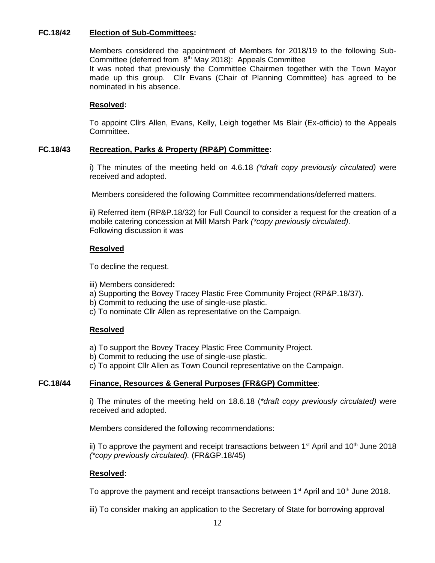# **FC.18/42 Election of Sub-Committees:**

Members considered the appointment of Members for 2018/19 to the following Sub-Committee (deferred from  $8<sup>th</sup>$  May 2018): Appeals Committee

It was noted that previously the Committee Chairmen together with the Town Mayor made up this group. Cllr Evans (Chair of Planning Committee) has agreed to be nominated in his absence.

# **Resolved:**

To appoint Cllrs Allen, Evans, Kelly, Leigh together Ms Blair (Ex-officio) to the Appeals Committee.

# **FC.18/43 Recreation, Parks & Property (RP&P) Committee:**

i) The minutes of the meeting held on 4.6.18 *(\*draft copy previously circulated)* were received and adopted.

Members considered the following Committee recommendations/deferred matters.

ii) Referred item (RP&P.18/32) for Full Council to consider a request for the creation of a mobile catering concession at Mill Marsh Park *(\*copy previously circulated).* Following discussion it was

# **Resolved**

To decline the request.

- iii) Members considered**:**
- a) Supporting the Bovey Tracey Plastic Free Community Project (RP&P.18/37).
- b) Commit to reducing the use of single-use plastic.
- c) To nominate Cllr Allen as representative on the Campaign.

### **Resolved**

- a) To support the Bovey Tracey Plastic Free Community Project.
- b) Commit to reducing the use of single-use plastic.

c) To appoint Cllr Allen as Town Council representative on the Campaign.

# **FC.18/44 Finance, Resources & General Purposes (FR&GP) Committee**:

i) The minutes of the meeting held on 18.6.18 (*\*draft copy previously circulated)* were received and adopted.

Members considered the following recommendations:

ii) To approve the payment and receipt transactions between  $1<sup>st</sup>$  April and  $10<sup>th</sup>$  June 2018 *(\*copy previously circulated).* (FR&GP.18/45)

### **Resolved:**

To approve the payment and receipt transactions between 1<sup>st</sup> April and 10<sup>th</sup> June 2018.

iii) To consider making an application to the Secretary of State for borrowing approval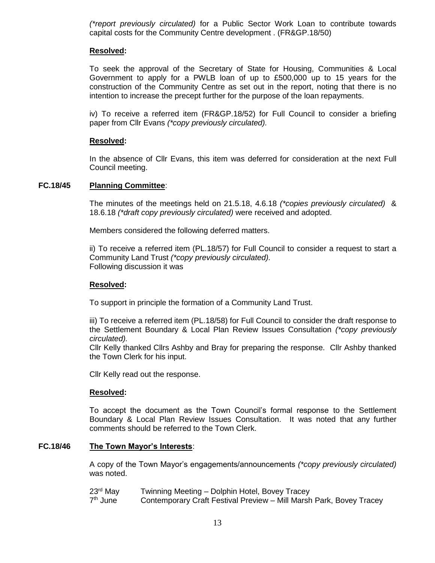*(\*report previously circulated)* for a Public Sector Work Loan to contribute towards capital costs for the Community Centre development . (FR&GP.18/50)

# **Resolved:**

To seek the approval of the Secretary of State for Housing, Communities & Local Government to apply for a PWLB loan of up to £500,000 up to 15 years for the construction of the Community Centre as set out in the report, noting that there is no intention to increase the precept further for the purpose of the loan repayments.

iv) To receive a referred item (FR&GP.18/52) for Full Council to consider a briefing paper from Cllr Evans *(\*copy previously circulated).*

# **Resolved:**

In the absence of Cllr Evans, this item was deferred for consideration at the next Full Council meeting.

# **FC.18/45 Planning Committee**:

The minutes of the meetings held on 21.5.18, 4.6.18 *(\*copies previously circulated)* & 18.6.18 *(\*draft copy previously circulated)* were received and adopted.

Members considered the following deferred matters.

ii) To receive a referred item (PL.18/57) for Full Council to consider a request to start a Community Land Trust *(\*copy previously circulated).* Following discussion it was

# **Resolved:**

To support in principle the formation of a Community Land Trust.

iii) To receive a referred item (PL.18/58) for Full Council to consider the draft response to the Settlement Boundary & Local Plan Review Issues Consultation *(\*copy previously circulated).*

Cllr Kelly thanked Cllrs Ashby and Bray for preparing the response. Cllr Ashby thanked the Town Clerk for his input.

Cllr Kelly read out the response.

### **Resolved:**

To accept the document as the Town Council's formal response to the Settlement Boundary & Local Plan Review Issues Consultation. It was noted that any further comments should be referred to the Town Clerk.

### **FC.18/46 The Town Mayor's Interests**:

A copy of the Town Mayor's engagements/announcements *(\*copy previously circulated)* was noted.

23<sup>rd</sup> May Twinning Meeting – Dolphin Hotel, Bovey Tracey 7<sup>th</sup> June Contemporary Craft Festival Preview – Mill Marsh Park, Bovey Tracey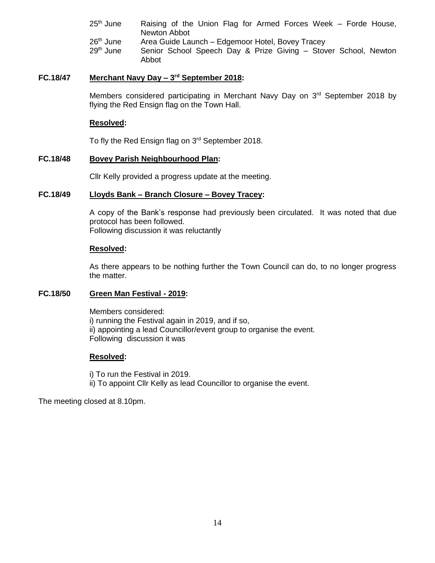- $25<sup>th</sup>$  June Raising of the Union Flag for Armed Forces Week Forde House, Newton Abbot 26<sup>th</sup> June Area Guide Launch – Edgemoor Hotel, Bovey Tracey
- 29<sup>th</sup> June Senior School Speech Day & Prize Giving Stover School, Newton Abbot

# **FC.18/47 Merchant Navy Day – 3 rd September 2018:**

Members considered participating in Merchant Navy Day on 3<sup>rd</sup> September 2018 by flying the Red Ensign flag on the Town Hall.

## **Resolved:**

To fly the Red Ensign flag on 3rd September 2018.

### **FC.18/48 Bovey Parish Neighbourhood Plan:**

Cllr Kelly provided a progress update at the meeting.

### **FC.18/49 Lloyds Bank – Branch Closure – Bovey Tracey:**

A copy of the Bank's response had previously been circulated. It was noted that due protocol has been followed. Following discussion it was reluctantly

#### **Resolved:**

As there appears to be nothing further the Town Council can do, to no longer progress the matter.

# **FC.18/50 Green Man Festival - 2019:**

Members considered: i) running the Festival again in 2019, and if so, ii) appointing a lead Councillor/event group to organise the event. Following discussion it was

### **Resolved:**

i) To run the Festival in 2019. ii) To appoint Cllr Kelly as lead Councillor to organise the event.

The meeting closed at 8.10pm.